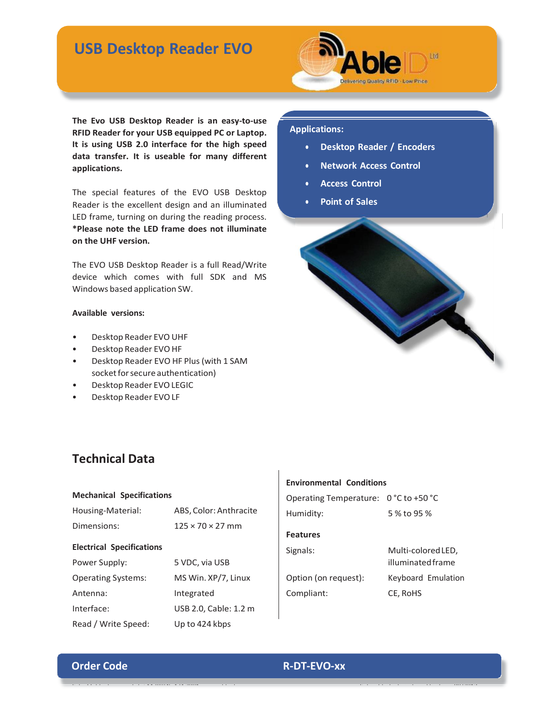# **USB Desktop Reader EVO**



**The Evo USB Desktop Reader is an easy-to-use RFID Reader for your USB equipped PC or Laptop. It is using USB 2.0 interface for the high speed data transfer. It is useable for many different applications.**

The special features of the EVO USB Desktop Reader is the excellent design and an illuminated LED frame, turning on during the reading process. **\*Please note the LED frame does not illuminate on the UHF version.**

The EVO USB Desktop Reader is a full Read/Write device which comes with full SDK and MS Windows based application SW.

## **Available versions:**

- Desktop Reader EVO UHF
- Desktop Reader EVO HF
- Desktop Reader EVO HF Plus(with 1 SAM socket for secure authentication)
- Desktop Reader EVOLEGIC
- Desktop Reader EVOLF

# **Technical Data**

#### **Mechanical Specifications**

| Housing-Material:                | ABS, Color: Anthracite       |  |
|----------------------------------|------------------------------|--|
| Dimensions:                      | $125 \times 70 \times 27$ mm |  |
| <b>Electrical Specifications</b> |                              |  |
| Power Supply:                    | 5 VDC, via USB               |  |
| <b>Operating Systems:</b>        | MS Win. XP/7, Linux          |  |
| Antenna:                         | Integrated                   |  |
| Interface:                       | USB 2.0, Cable: 1.2 m        |  |
| Read / Write Speed:              | Up to 424 kbps               |  |

# **Environmental Conditions** Operating Temperature: 0 °C to +50 °C Humidity: 5 % to 95 % **Features** Signals: Multi-colored LED,

Option (on request): Keyboard Emulation Compliant: CE, RoHS

illuminated frame

## **Applications:**

- **Desktop Reader / Encoders**
- **Network Access Control**
- **Access Control**
- **Point of Sales**



## **Order Code R-DT-EVO-xx**

[Sales@ableid.com](mailto:Sales@ableid.com) Tel: +44 {0)845 474 2001 [www.ableid.com](http://www.ableid.com/) Subject to technical modifications 09/2012